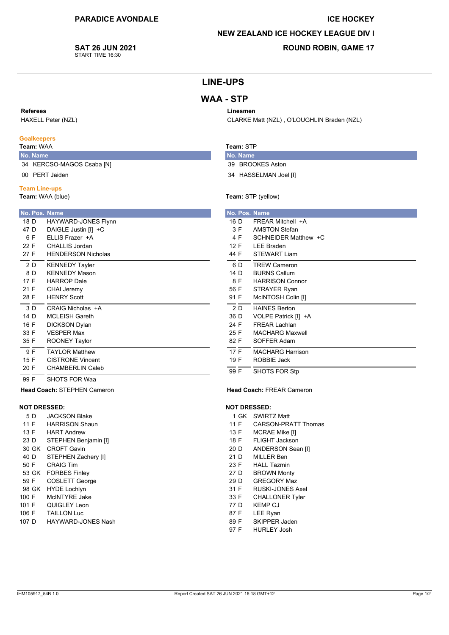#### **ICE HOCKEY**

### **NEW ZEALAND ICE HOCKEY LEAGUE DIV I**

#### **SAT 26 JUN 2021** START TIME 16:30

## **ROUND ROBIN, GAME 17**

# **LINE-UPS**

# **WAA - STP**

#### Referees

HAXELL Peter (NZL)

### **Goalkeepers**

## Team: WAA

No. Name 34 KERCSO-MAGOS Csaba [N]

00 PERT Jaiden

#### **Team Line-ups**

Team: WAA (blue)

| No. Pos. Name |                           |
|---------------|---------------------------|
| 18 D          | HAYWARD-JONES Flynn       |
| 47 D          | DAIGLE Justin [I] +C      |
| 6 F           | FLLIS Frazer +A           |
| 22 F          | CHALLIS Jordan            |
| 27 F          | <b>HENDERSON Nicholas</b> |
| 2 D           | <b>KENNEDY Tayler</b>     |
| 8 D           | <b>KFNNFDY Mason</b>      |
| 17 F          | <b>HARROP Dale</b>        |
| 21 F          | <b>CHAI Jeremy</b>        |
| 28 F          | <b>HFNRY Scott</b>        |
| 3 D           | CRAIG Nicholas +A         |
| 14 D          | MCI FISH Gareth           |
| 16 F          | <b>DICKSON Dylan</b>      |
| 33 F          | <b>VESPER Max</b>         |
| 35 F          | <b>ROONEY Taylor</b>      |
| 9 F           | <b>TAYI OR Matthew</b>    |
| 15 F          | CISTRONE Vincent          |
| 20 F          | CHAMBERLIN Caleb          |
| 99 F          | <b>SHOTS FOR Waa</b>      |

**Head Coach: STEPHEN Cameron** 

### **NOT DRESSED:**

| 5 D   | <b>JACKSON Blake</b>  |
|-------|-----------------------|
| 11 F  | <b>HARRISON Shaun</b> |
| 13 F  | <b>HART Andrew</b>    |
| 23 D  | STEPHEN Benjamin [I]  |
| 30 GK | CROFT Gavin           |
| 40 D  | STEPHEN Zachery [I]   |
| 50 F  | CRAIG Tim             |
| 53 GK | <b>FORBES Finley</b>  |
| 59 F  | <b>COSLETT George</b> |
| 98 GK | <b>HYDE Lochlyn</b>   |
| 100 F | McINTYRF Jake         |
| 101 F | QUIGLEY Leon          |
| 106 F | <b>TAILLON Luc</b>    |
| 107 D | HAYWARD-JONES Nash    |

# Linesmen

CLARKE Matt (NZL), O'LOUGHLIN Braden (NZL)

### Team: STP

- No. Name 39 BROOKES Aston
- 34 HASSELMAN Joel [I]

#### Team: STP (yellow)

|      |     | No. Pos. Name           |
|------|-----|-------------------------|
| 16 D |     | FRFAR Mitchell +A       |
|      | 3 F | <b>AMSTON Stefan</b>    |
|      | 4 F | SCHNEIDER Matthew +C    |
| 12 F |     | <b>LEE Braden</b>       |
| 44 F |     | <b>STEWART Liam</b>     |
|      | 6 D | <b>TREW Cameron</b>     |
| 14 D |     | <b>BURNS Callum</b>     |
|      | 8 F | <b>HARRISON Connor</b>  |
| 56 F |     | STRAYER Ryan            |
| 91 F |     | McINTOSH Colin [I]      |
|      | 2 D | <b>HAINES Berton</b>    |
| 36 D |     | VOLPE Patrick [I] +A    |
| 24 F |     | <b>FREAR Lachlan</b>    |
| 25 F |     | <b>MACHARG Maxwell</b>  |
| 82 F |     | SOFFER Adam             |
| 17 F |     | <b>MACHARG Harrison</b> |
| 19 F |     | ROBBIE Jack             |
| 99 F |     | SHOTS FOR Stp           |

#### **Head Coach: FREAR Cameron**

#### **NOT DRESSED:**

- 1 GK SWIRTZ Matt
- $11F$ **CARSON-PRATT Thomas**
- MCRAE Mike [I]  $13 F$
- 18 F FLIGHT Jackson
- 20 D ANDERSON Sean [I]
- 21 D MILLER Ben
- 23 F **HALL Tazmin**
- $27D$ **BROWN Monty**
- 29 D **GREGORY Maz**
- 31 F **RUSKI-JONES Axel**
- 33 F **CHALLONER Tyler** 77 D **KEMP CJ**
- LEE Ryan 87 F
- SKIPPER Jaden 89 F
- 97 F **HURLEY Josh**